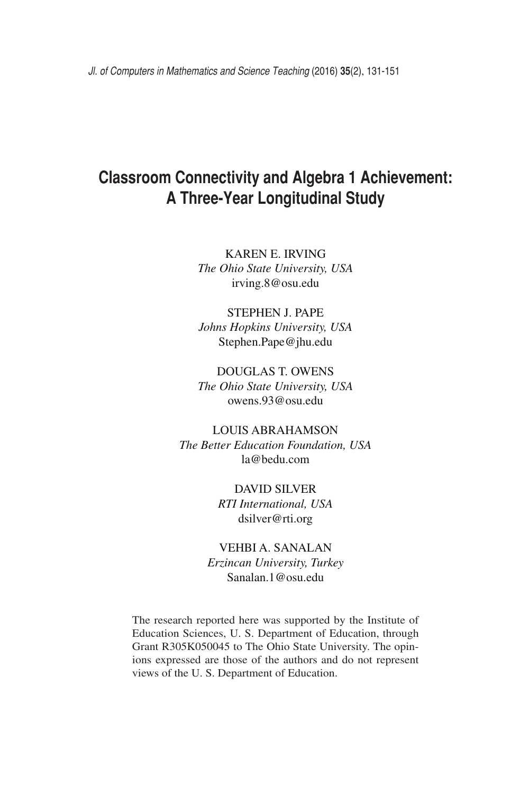# **Classroom Connectivity and Algebra 1 Achievement: A Three-Year Longitudinal Study**

Karen E. Irving

*The Ohio State University, USA* irving.8@osu.edu

Stephen J. Pape *Johns Hopkins University, USA* Stephen.Pape@jhu.edu

Douglas T. Owens *The Ohio State University, USA* owens.93@osu.edu

Louis Abrahamson *The Better Education Foundation, USA* la@bedu.com

> David Silver *RTI International, USA* dsilver@rti.org

Vehbi A. Sanalan *Erzincan University, Turkey* Sanalan.1@osu.edu

The research reported here was supported by the Institute of Education Sciences, U. S. Department of Education, through Grant R305K050045 to The Ohio State University. The opinions expressed are those of the authors and do not represent views of the U. S. Department of Education.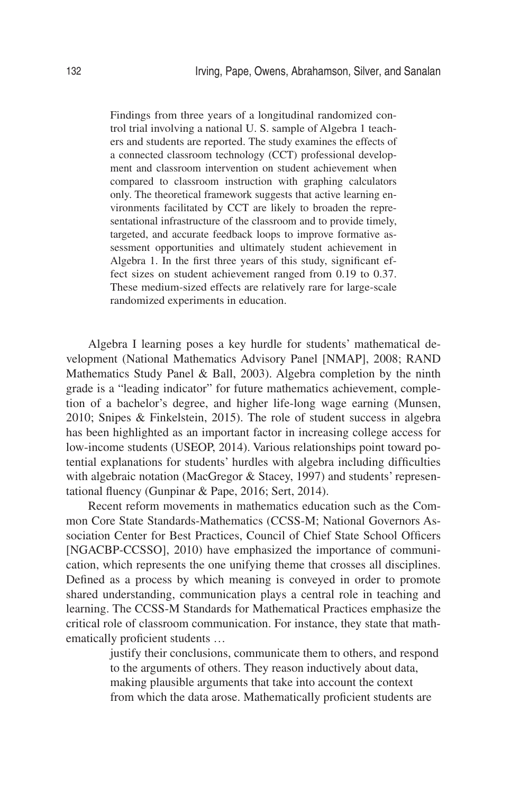Findings from three years of a longitudinal randomized control trial involving a national U. S. sample of Algebra 1 teachers and students are reported. The study examines the effects of a connected classroom technology (CCT) professional development and classroom intervention on student achievement when compared to classroom instruction with graphing calculators only. The theoretical framework suggests that active learning environments facilitated by CCT are likely to broaden the representational infrastructure of the classroom and to provide timely, targeted, and accurate feedback loops to improve formative assessment opportunities and ultimately student achievement in Algebra 1. In the first three years of this study, significant effect sizes on student achievement ranged from 0.19 to 0.37. These medium-sized effects are relatively rare for large-scale randomized experiments in education.

Algebra I learning poses a key hurdle for students' mathematical development (National Mathematics Advisory Panel [NMAP], 2008; RAND Mathematics Study Panel & Ball, 2003). Algebra completion by the ninth grade is a "leading indicator" for future mathematics achievement, completion of a bachelor's degree, and higher life-long wage earning (Munsen, 2010; Snipes & Finkelstein, 2015). The role of student success in algebra has been highlighted as an important factor in increasing college access for low-income students (USEOP, 2014). Various relationships point toward potential explanations for students' hurdles with algebra including difficulties with algebraic notation (MacGregor & Stacey, 1997) and students' representational fluency (Gunpinar & Pape, 2016; Sert, 2014).

Recent reform movements in mathematics education such as the Common Core State Standards-Mathematics (CCSS-M; National Governors Association Center for Best Practices, Council of Chief State School Officers [NGACBP-CCSSO], 2010) have emphasized the importance of communication, which represents the one unifying theme that crosses all disciplines. Defined as a process by which meaning is conveyed in order to promote shared understanding, communication plays a central role in teaching and learning. The CCSS-M Standards for Mathematical Practices emphasize the critical role of classroom communication. For instance, they state that mathematically proficient students …

> justify their conclusions, communicate them to others, and respond to the arguments of others. They reason inductively about data, making plausible arguments that take into account the context from which the data arose. Mathematically proficient students are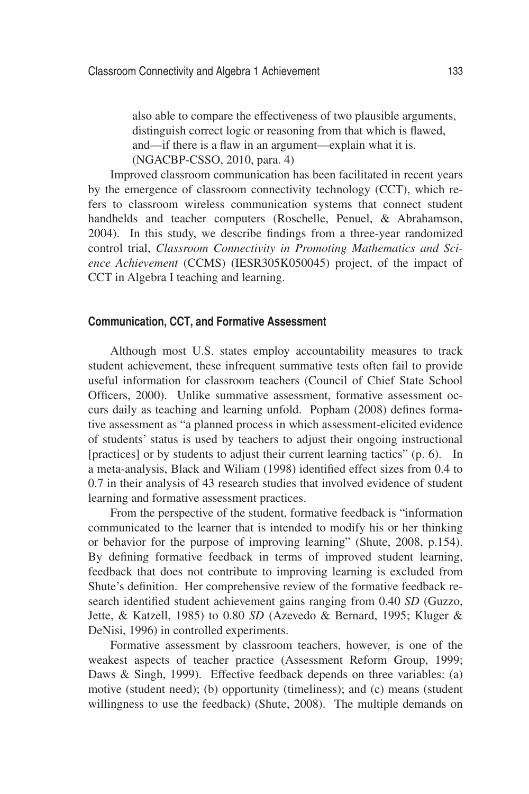also able to compare the effectiveness of two plausible arguments, distinguish correct logic or reasoning from that which is flawed, and—if there is a flaw in an argument—explain what it is. (NGACBP-CSSO, 2010, para. 4)

Improved classroom communication has been facilitated in recent years by the emergence of classroom connectivity technology (CCT), which refers to classroom wireless communication systems that connect student handhelds and teacher computers (Roschelle, Penuel, & Abrahamson, 2004). In this study, we describe findings from a three-year randomized control trial, *Classroom Connectivity in Promoting Mathematics and Science Achievement* (CCMS) (IESR305K050045) project, of the impact of CCT in Algebra I teaching and learning.

## **Communication, CCT, and Formative Assessment**

Although most U.S. states employ accountability measures to track student achievement, these infrequent summative tests often fail to provide useful information for classroom teachers (Council of Chief State School Officers, 2000). Unlike summative assessment, formative assessment occurs daily as teaching and learning unfold. Popham (2008) defines formative assessment as "a planned process in which assessment-elicited evidence of students' status is used by teachers to adjust their ongoing instructional [practices] or by students to adjust their current learning tactics" (p. 6). In a meta-analysis, Black and Wiliam (1998) identified effect sizes from 0.4 to 0.7 in their analysis of 43 research studies that involved evidence of student learning and formative assessment practices.

From the perspective of the student, formative feedback is "information communicated to the learner that is intended to modify his or her thinking or behavior for the purpose of improving learning" (Shute, 2008, p.154). By defining formative feedback in terms of improved student learning, feedback that does not contribute to improving learning is excluded from Shute's definition. Her comprehensive review of the formative feedback research identified student achievement gains ranging from 0.40 *SD* (Guzzo, Jette, & Katzell, 1985) to 0.80 *SD* (Azevedo & Bernard, 1995; Kluger & DeNisi, 1996) in controlled experiments.

Formative assessment by classroom teachers, however, is one of the weakest aspects of teacher practice (Assessment Reform Group, 1999; Daws & Singh, 1999). Effective feedback depends on three variables: (a) motive (student need); (b) opportunity (timeliness); and (c) means (student willingness to use the feedback) (Shute, 2008). The multiple demands on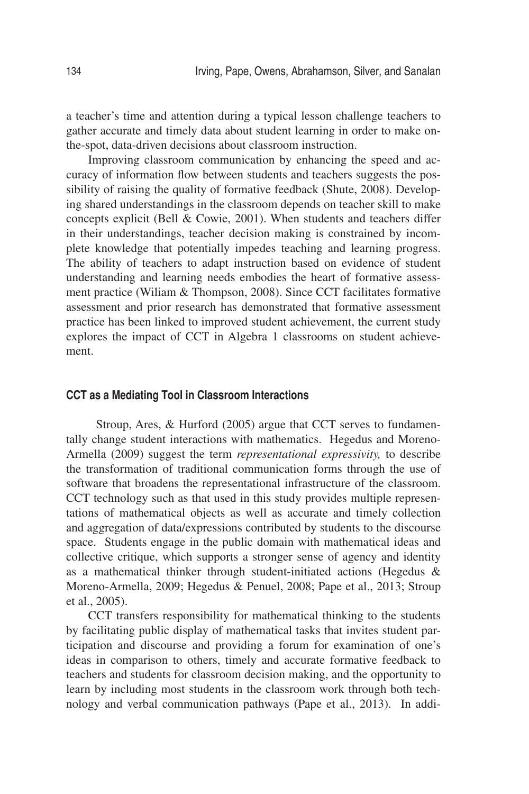a teacher's time and attention during a typical lesson challenge teachers to gather accurate and timely data about student learning in order to make onthe-spot, data-driven decisions about classroom instruction.

Improving classroom communication by enhancing the speed and accuracy of information flow between students and teachers suggests the possibility of raising the quality of formative feedback (Shute, 2008). Developing shared understandings in the classroom depends on teacher skill to make concepts explicit (Bell & Cowie, 2001). When students and teachers differ in their understandings, teacher decision making is constrained by incomplete knowledge that potentially impedes teaching and learning progress. The ability of teachers to adapt instruction based on evidence of student understanding and learning needs embodies the heart of formative assessment practice (Wiliam & Thompson, 2008). Since CCT facilitates formative assessment and prior research has demonstrated that formative assessment practice has been linked to improved student achievement, the current study explores the impact of CCT in Algebra 1 classrooms on student achievement.

#### **CCT as a Mediating Tool in Classroom Interactions**

 Stroup, Ares, & Hurford (2005) argue that CCT serves to fundamentally change student interactions with mathematics. Hegedus and Moreno-Armella (2009) suggest the term *representational expressivity,* to describe the transformation of traditional communication forms through the use of software that broadens the representational infrastructure of the classroom. CCT technology such as that used in this study provides multiple representations of mathematical objects as well as accurate and timely collection and aggregation of data/expressions contributed by students to the discourse space. Students engage in the public domain with mathematical ideas and collective critique, which supports a stronger sense of agency and identity as a mathematical thinker through student-initiated actions (Hegedus & Moreno-Armella, 2009; Hegedus & Penuel, 2008; Pape et al., 2013; Stroup et al., 2005).

CCT transfers responsibility for mathematical thinking to the students by facilitating public display of mathematical tasks that invites student participation and discourse and providing a forum for examination of one's ideas in comparison to others, timely and accurate formative feedback to teachers and students for classroom decision making, and the opportunity to learn by including most students in the classroom work through both technology and verbal communication pathways (Pape et al., 2013). In addi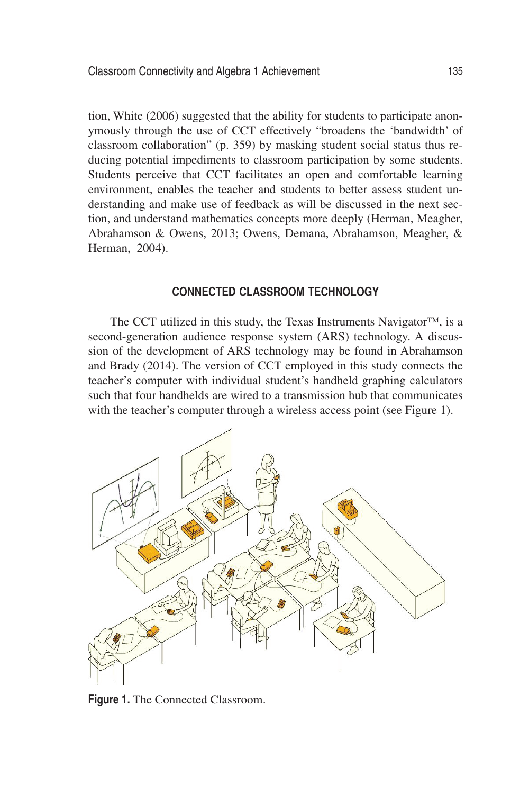tion, White (2006) suggested that the ability for students to participate anonymously through the use of CCT effectively "broadens the 'bandwidth' of classroom collaboration" (p. 359) by masking student social status thus reducing potential impediments to classroom participation by some students. Students perceive that CCT facilitates an open and comfortable learning environment, enables the teacher and students to better assess student understanding and make use of feedback as will be discussed in the next section, and understand mathematics concepts more deeply (Herman, Meagher, Abrahamson & Owens, 2013; Owens, Demana, Abrahamson, Meagher, & Herman, 2004).

## **Connected Classroom Technology**

The CCT utilized in this study, the Texas Instruments Navigator™, is a second-generation audience response system (ARS) technology. A discussion of the development of ARS technology may be found in Abrahamson and Brady (2014). The version of CCT employed in this study connects the teacher's computer with individual student's handheld graphing calculators such that four handhelds are wired to a transmission hub that communicates with the teacher's computer through a wireless access point (see Figure 1).



**Figure 1.** The Connected Classroom.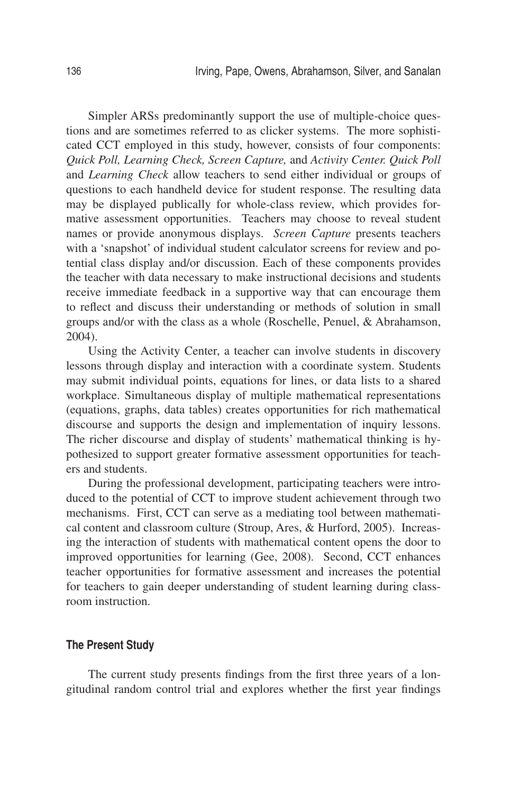Simpler ARSs predominantly support the use of multiple-choice questions and are sometimes referred to as clicker systems. The more sophisticated CCT employed in this study, however, consists of four components: *Quick Poll, Learning Check, Screen Capture,* and *Activity Center. Quick Poll* and *Learning Check* allow teachers to send either individual or groups of questions to each handheld device for student response. The resulting data may be displayed publically for whole-class review, which provides formative assessment opportunities. Teachers may choose to reveal student names or provide anonymous displays. *Screen Capture* presents teachers with a 'snapshot' of individual student calculator screens for review and potential class display and/or discussion. Each of these components provides the teacher with data necessary to make instructional decisions and students receive immediate feedback in a supportive way that can encourage them to reflect and discuss their understanding or methods of solution in small groups and/or with the class as a whole (Roschelle, Penuel, & Abrahamson, 2004).

Using the Activity Center, a teacher can involve students in discovery lessons through display and interaction with a coordinate system. Students may submit individual points, equations for lines, or data lists to a shared workplace. Simultaneous display of multiple mathematical representations (equations, graphs, data tables) creates opportunities for rich mathematical discourse and supports the design and implementation of inquiry lessons. The richer discourse and display of students' mathematical thinking is hypothesized to support greater formative assessment opportunities for teachers and students.

During the professional development, participating teachers were introduced to the potential of CCT to improve student achievement through two mechanisms. First, CCT can serve as a mediating tool between mathematical content and classroom culture (Stroup, Ares, & Hurford, 2005). Increasing the interaction of students with mathematical content opens the door to improved opportunities for learning (Gee, 2008). Second, CCT enhances teacher opportunities for formative assessment and increases the potential for teachers to gain deeper understanding of student learning during classroom instruction.

## **The Present Study**

The current study presents findings from the first three years of a longitudinal random control trial and explores whether the first year findings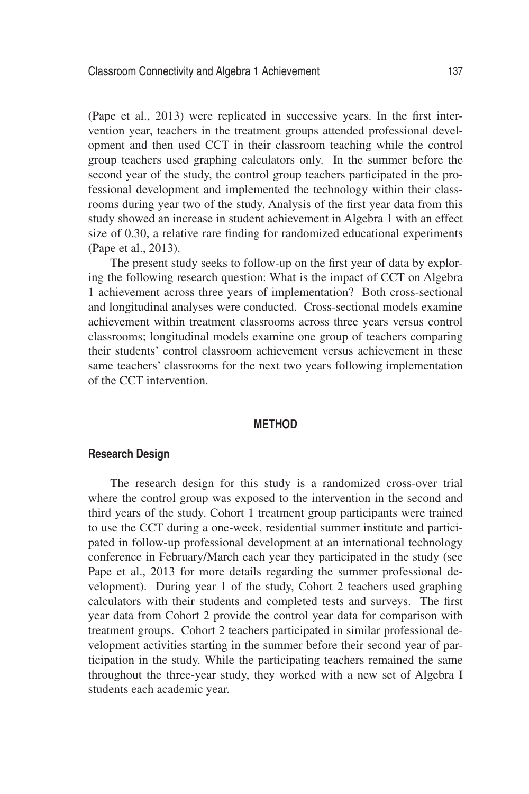(Pape et al., 2013) were replicated in successive years. In the first intervention year, teachers in the treatment groups attended professional development and then used CCT in their classroom teaching while the control group teachers used graphing calculators only. In the summer before the second year of the study, the control group teachers participated in the professional development and implemented the technology within their classrooms during year two of the study. Analysis of the first year data from this study showed an increase in student achievement in Algebra 1 with an effect size of 0.30, a relative rare finding for randomized educational experiments (Pape et al., 2013).

The present study seeks to follow-up on the first year of data by exploring the following research question: What is the impact of CCT on Algebra 1 achievement across three years of implementation? Both cross-sectional and longitudinal analyses were conducted. Cross-sectional models examine achievement within treatment classrooms across three years versus control classrooms; longitudinal models examine one group of teachers comparing their students' control classroom achievement versus achievement in these same teachers' classrooms for the next two years following implementation of the CCT intervention.

#### **Method**

#### **Research Design**

The research design for this study is a randomized cross-over trial where the control group was exposed to the intervention in the second and third years of the study. Cohort 1 treatment group participants were trained to use the CCT during a one-week, residential summer institute and participated in follow-up professional development at an international technology conference in February/March each year they participated in the study (see Pape et al., 2013 for more details regarding the summer professional development). During year 1 of the study, Cohort 2 teachers used graphing calculators with their students and completed tests and surveys. The first year data from Cohort 2 provide the control year data for comparison with treatment groups. Cohort 2 teachers participated in similar professional development activities starting in the summer before their second year of participation in the study. While the participating teachers remained the same throughout the three-year study, they worked with a new set of Algebra I students each academic year.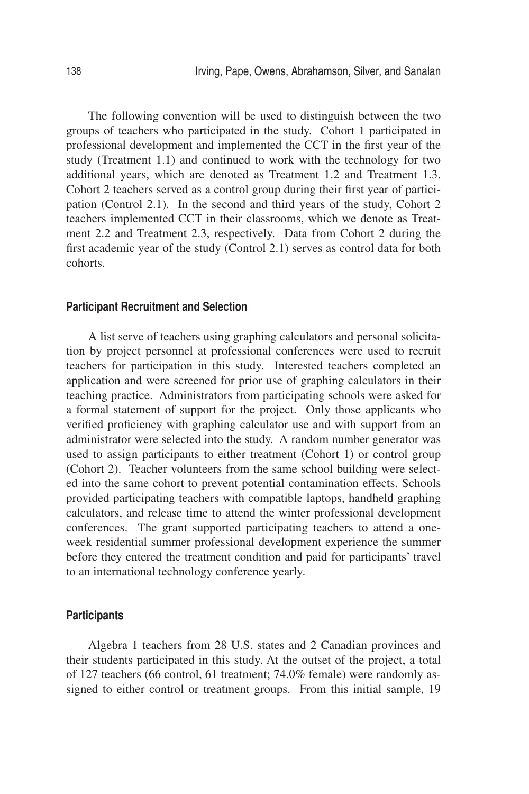The following convention will be used to distinguish between the two groups of teachers who participated in the study. Cohort 1 participated in professional development and implemented the CCT in the first year of the study (Treatment 1.1) and continued to work with the technology for two additional years, which are denoted as Treatment 1.2 and Treatment 1.3. Cohort 2 teachers served as a control group during their first year of participation (Control 2.1). In the second and third years of the study, Cohort 2 teachers implemented CCT in their classrooms, which we denote as Treatment 2.2 and Treatment 2.3, respectively. Data from Cohort 2 during the first academic year of the study (Control 2.1) serves as control data for both cohorts.

#### **Participant Recruitment and Selection**

A list serve of teachers using graphing calculators and personal solicitation by project personnel at professional conferences were used to recruit teachers for participation in this study. Interested teachers completed an application and were screened for prior use of graphing calculators in their teaching practice. Administrators from participating schools were asked for a formal statement of support for the project. Only those applicants who verified proficiency with graphing calculator use and with support from an administrator were selected into the study. A random number generator was used to assign participants to either treatment (Cohort 1) or control group (Cohort 2). Teacher volunteers from the same school building were selected into the same cohort to prevent potential contamination effects. Schools provided participating teachers with compatible laptops, handheld graphing calculators, and release time to attend the winter professional development conferences. The grant supported participating teachers to attend a oneweek residential summer professional development experience the summer before they entered the treatment condition and paid for participants' travel to an international technology conference yearly.

## **Participants**

Algebra 1 teachers from 28 U.S. states and 2 Canadian provinces and their students participated in this study. At the outset of the project, a total of 127 teachers (66 control, 61 treatment; 74.0% female) were randomly assigned to either control or treatment groups. From this initial sample, 19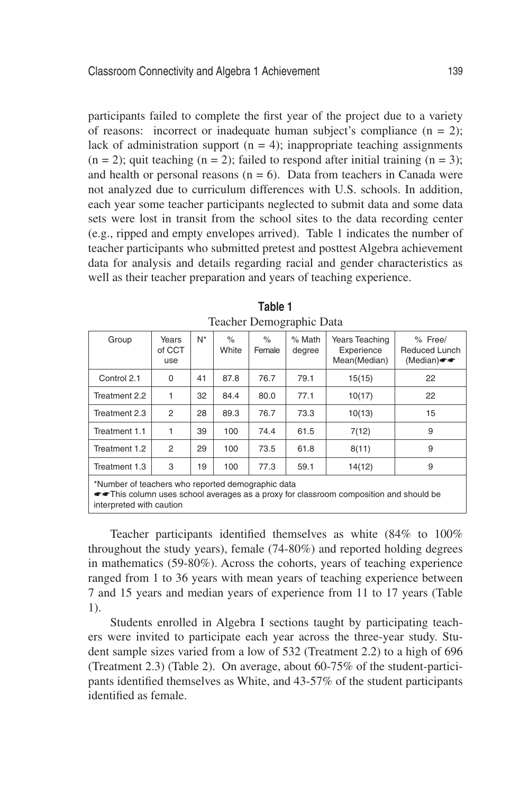participants failed to complete the first year of the project due to a variety of reasons: incorrect or inadequate human subject's compliance  $(n = 2)$ ; lack of administration support  $(n = 4)$ ; inappropriate teaching assignments  $(n = 2)$ ; quit teaching  $(n = 2)$ ; failed to respond after initial training  $(n = 3)$ ; and health or personal reasons  $(n = 6)$ . Data from teachers in Canada were not analyzed due to curriculum differences with U.S. schools. In addition, each year some teacher participants neglected to submit data and some data sets were lost in transit from the school sites to the data recording center (e.g., ripped and empty envelopes arrived). Table 1 indicates the number of teacher participants who submitted pretest and posttest Algebra achievement data for analysis and details regarding racial and gender characteristics as well as their teacher preparation and years of teaching experience.

| Group                                             | Years<br>of CCT<br>use | N* | $\%$<br>White | $\%$<br>Female | % Math<br>degree | Years Teaching<br>Experience<br>Mean(Median) | % Free/<br>Reduced Lunch<br>(Median) |
|---------------------------------------------------|------------------------|----|---------------|----------------|------------------|----------------------------------------------|--------------------------------------|
| Control 2.1                                       | 0                      | 41 | 87.8          | 76.7           | 79.1             | 15(15)                                       | 22                                   |
| Treatment 2.2                                     | 1                      | 32 | 84.4          | 80.0           | 77.1             | 10(17)                                       | 22                                   |
| Treatment 2.3                                     | 2                      | 28 | 89.3          | 76.7           | 73.3             | 10(13)                                       | 15                                   |
| Treatment 1.1                                     | 1                      | 39 | 100           | 74.4           | 61.5             | 7(12)                                        | 9                                    |
| Treatment 1.2                                     | $\overline{2}$         | 29 | 100           | 73.5           | 61.8             | 8(11)                                        | 9                                    |
| Treatment 1.3                                     | 3                      | 19 | 100           | 77.3           | 59.1             | 14(12)                                       | 9                                    |
| *Number of teachers who reported demographic data |                        |    |               |                |                  |                                              |                                      |

**Table 1** Teacher Demographic Data

\*Number of teachers who reported demographic data

\*\*This column uses school averages as a proxy for classroom composition and should be interpreted with caution

Teacher participants identified themselves as white (84% to 100% throughout the study years), female (74-80%) and reported holding degrees in mathematics (59-80%). Across the cohorts, years of teaching experience ranged from 1 to 36 years with mean years of teaching experience between 7 and 15 years and median years of experience from 11 to 17 years (Table 1).

Students enrolled in Algebra I sections taught by participating teachers were invited to participate each year across the three-year study. Student sample sizes varied from a low of 532 (Treatment 2.2) to a high of 696 (Treatment 2.3) (Table 2). On average, about 60-75% of the student-participants identified themselves as White, and 43-57% of the student participants identified as female.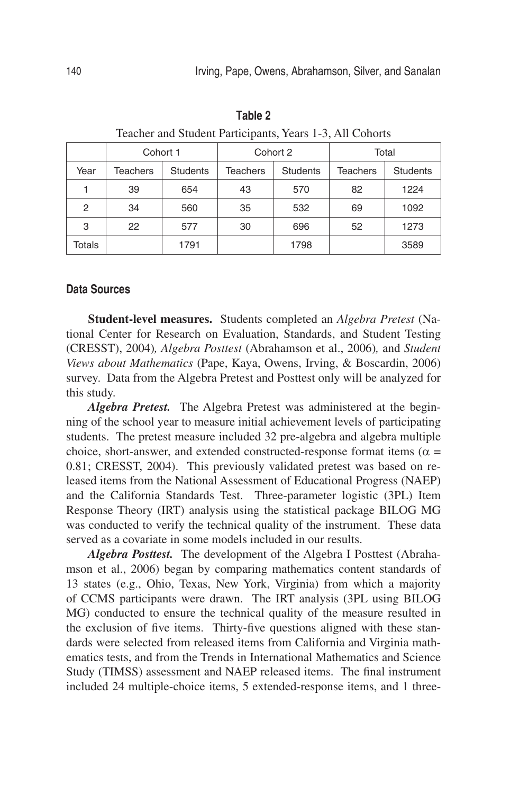| reaction and student Participants, reals 1-5, All Conorts |                 |                 |                 |                 |                 |                 |  |
|-----------------------------------------------------------|-----------------|-----------------|-----------------|-----------------|-----------------|-----------------|--|
|                                                           | Cohort 1        |                 |                 | Cohort 2        | Total           |                 |  |
| Year                                                      | <b>Teachers</b> | <b>Students</b> | <b>Teachers</b> | <b>Students</b> | <b>Teachers</b> | <b>Students</b> |  |
|                                                           | 39              | 654             | 43              | 570             | 82              | 1224            |  |
| 2                                                         | 34              | 560             | 35              | 532             | 69              | 1092            |  |
| 3                                                         | 22              | 577             | 30              | 696             | 52              | 1273            |  |
| Totals                                                    |                 | 1791            |                 | 1798            |                 | 3589            |  |

**Table 2**  Teacher and Student Participants, Years 1-3, All Cohorts

#### **Data Sources**

**Student-level measures.** Students completed an *Algebra Pretest* (National Center for Research on Evaluation, Standards, and Student Testing (CRESST), 2004)*, Algebra Posttest* (Abrahamson et al., 2006)*,* and *Student Views about Mathematics* (Pape, Kaya, Owens, Irving, & Boscardin, 2006) survey. Data from the Algebra Pretest and Posttest only will be analyzed for this study.

*Algebra Pretest.* The Algebra Pretest was administered at the beginning of the school year to measure initial achievement levels of participating students. The pretest measure included 32 pre-algebra and algebra multiple choice, short-answer, and extended constructed-response format items ( $\alpha$  = 0.81; CRESST, 2004). This previously validated pretest was based on released items from the National Assessment of Educational Progress (NAEP) and the California Standards Test. Three-parameter logistic (3PL) Item Response Theory (IRT) analysis using the statistical package BILOG MG was conducted to verify the technical quality of the instrument. These data served as a covariate in some models included in our results.

*Algebra Posttest.* The development of the Algebra I Posttest (Abrahamson et al., 2006) began by comparing mathematics content standards of 13 states (e.g., Ohio, Texas, New York, Virginia) from which a majority of CCMS participants were drawn. The IRT analysis (3PL using BILOG MG) conducted to ensure the technical quality of the measure resulted in the exclusion of five items. Thirty-five questions aligned with these standards were selected from released items from California and Virginia mathematics tests, and from the Trends in International Mathematics and Science Study (TIMSS) assessment and NAEP released items. The final instrument included 24 multiple-choice items, 5 extended-response items, and 1 three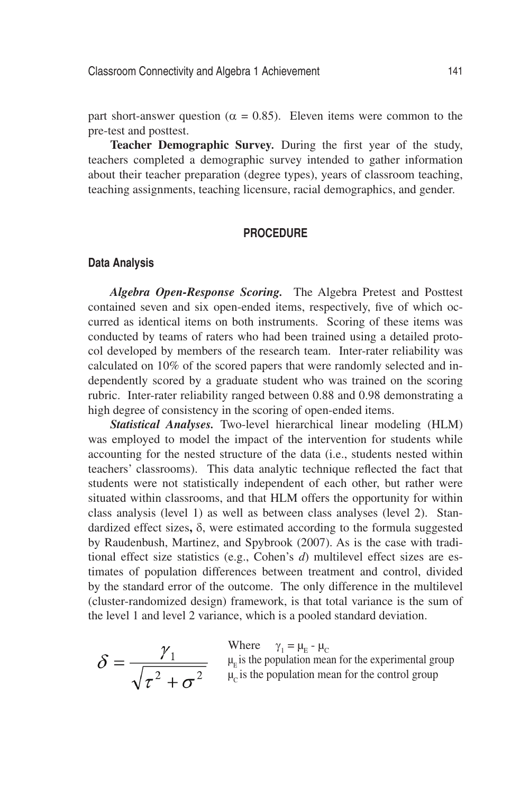part short-answer question ( $\alpha = 0.85$ ). Eleven items were common to the pre-test and posttest.

**Teacher Demographic Survey***.* During the first year of the study, teachers completed a demographic survey intended to gather information about their teacher preparation (degree types), years of classroom teaching, teaching assignments, teaching licensure, racial demographics, and gender.

## **Procedure**

#### **Data Analysis**

*Algebra Open-Response Scoring.* The Algebra Pretest and Posttest contained seven and six open-ended items, respectively, five of which occurred as identical items on both instruments. Scoring of these items was conducted by teams of raters who had been trained using a detailed protocol developed by members of the research team. Inter-rater reliability was calculated on 10% of the scored papers that were randomly selected and independently scored by a graduate student who was trained on the scoring rubric. Inter-rater reliability ranged between 0.88 and 0.98 demonstrating a high degree of consistency in the scoring of open-ended items.

*Statistical Analyses.* Two-level hierarchical linear modeling (HLM) was employed to model the impact of the intervention for students while accounting for the nested structure of the data (i.e., students nested within teachers' classrooms). This data analytic technique reflected the fact that students were not statistically independent of each other, but rather were situated within classrooms, and that HLM offers the opportunity for within class analysis (level 1) as well as between class analyses (level 2). Standardized effect sizes**,** δ, were estimated according to the formula suggested by Raudenbush, Martinez, and Spybrook (2007). As is the case with traditional effect size statistics (e.g., Cohen's *d*) multilevel effect sizes are estimates of population differences between treatment and control, divided by the standard error of the outcome. The only difference in the multilevel (cluster-randomized design) framework, is that total variance is the sum of the level 1 and level 2 variance, which is a pooled standard deviation.

$$
\delta = \frac{\gamma_1}{\sqrt{\tau^2 + \sigma^2}}
$$

Where  $\gamma_1 = \mu_E - \mu_C$ 

 $\mu_{\rm E}$  is the population mean for the experimental group  $\mu_c$  is the population mean for the control group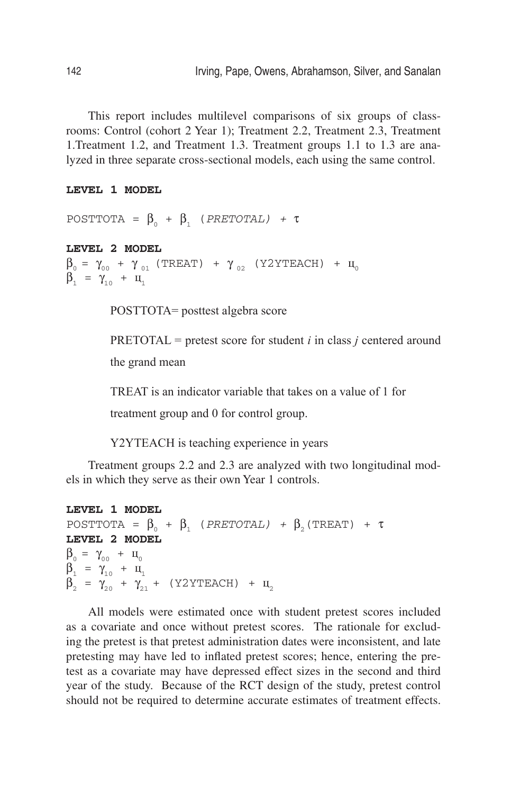This report includes multilevel comparisons of six groups of classrooms: Control (cohort 2 Year 1); Treatment 2.2, Treatment 2.3, Treatment 1.Treatment 1.2, and Treatment 1.3. Treatment groups 1.1 to 1.3 are analyzed in three separate cross-sectional models, each using the same control.

#### **LEVEL 1 MODEL**

```
POSTTOTA = \beta_0 + \beta_1 (PRETOTAL) + τ
```
#### **LEVEL 2 MODEL**

 $\beta_0 = \gamma_{00} + \gamma_{01}$  (TREAT) +  $\gamma_{02}$  (Y2YTEACH) +  $\mu_0$  $\beta_1 = \gamma_{10} + \mu_1$ 

POSTTOTA= posttest algebra score

PRETOTAL = pretest score for student *i* in class *j* centered around the grand mean

TREAT is an indicator variable that takes on a value of 1 for

treatment group and 0 for control group.

Y2YTEACH is teaching experience in years

Treatment groups 2.2 and 2.3 are analyzed with two longitudinal models in which they serve as their own Year 1 controls.

```
LEVEL 1 MODEL
POSTTOTA = \beta_0 + \beta_1 (PRETOTAL) + \beta_2 (TREAT) + τ
LEVEL 2 MODEL
\beta_0 = \gamma_{00} + \mu_0\beta_1 = \gamma_{10} + \mu_1\beta_2 = \gamma_{20} + \gamma_{21} + (Y2YTEACH) + \mu_2
```
All models were estimated once with student pretest scores included as a covariate and once without pretest scores. The rationale for excluding the pretest is that pretest administration dates were inconsistent, and late pretesting may have led to inflated pretest scores; hence, entering the pretest as a covariate may have depressed effect sizes in the second and third year of the study. Because of the RCT design of the study, pretest control should not be required to determine accurate estimates of treatment effects.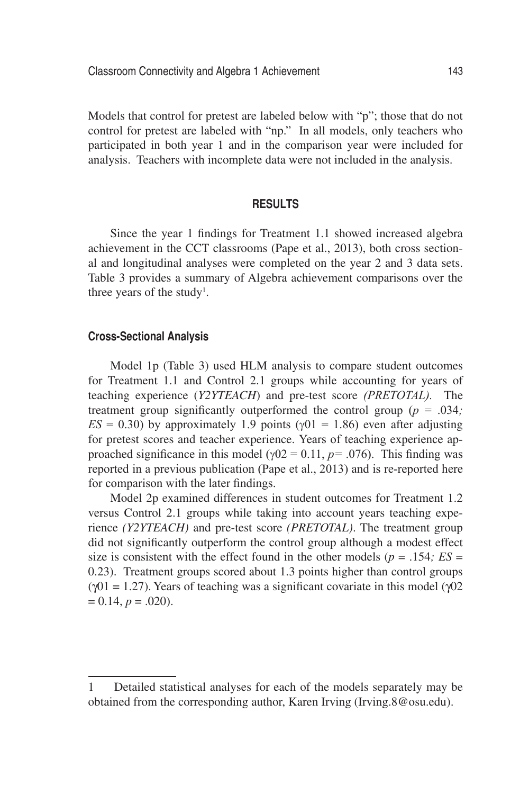Models that control for pretest are labeled below with "p"; those that do not control for pretest are labeled with "np." In all models, only teachers who participated in both year 1 and in the comparison year were included for analysis. Teachers with incomplete data were not included in the analysis.

## **Results**

Since the year 1 findings for Treatment 1.1 showed increased algebra achievement in the CCT classrooms (Pape et al., 2013), both cross sectional and longitudinal analyses were completed on the year 2 and 3 data sets. Table 3 provides a summary of Algebra achievement comparisons over the three years of the study<sup>1</sup>.

## **Cross-Sectional Analysis**

Model 1p (Table 3) used HLM analysis to compare student outcomes for Treatment 1.1 and Control 2.1 groups while accounting for years of teaching experience (*Y2YTEACH*) and pre-test score *(PRETOTAL).* The treatment group significantly outperformed the control group ( $p = .034$ ;  $ES = 0.30$ ) by approximately 1.9 points ( $\gamma$ 01 = 1.86) even after adjusting for pretest scores and teacher experience. Years of teaching experience approached significance in this model ( $\gamma$ 02 = 0.11, *p*= .076). This finding was reported in a previous publication (Pape et al., 2013) and is re-reported here for comparison with the later findings.

Model 2p examined differences in student outcomes for Treatment 1.2 versus Control 2.1 groups while taking into account years teaching experience *(Y2YTEACH)* and pre-test score *(PRETOTAL)*. The treatment group did not significantly outperform the control group although a modest effect size is consistent with the effect found in the other models ( $p = .154$ ;  $ES =$ 0.23). Treatment groups scored about 1.3 points higher than control groups  $(\sqrt{01} = 1.27)$ . Years of teaching was a significant covariate in this model  $(\sqrt{02})$  $= 0.14, p = .020$ ).

<sup>1</sup> Detailed statistical analyses for each of the models separately may be obtained from the corresponding author, Karen Irving (Irving.8@osu.edu).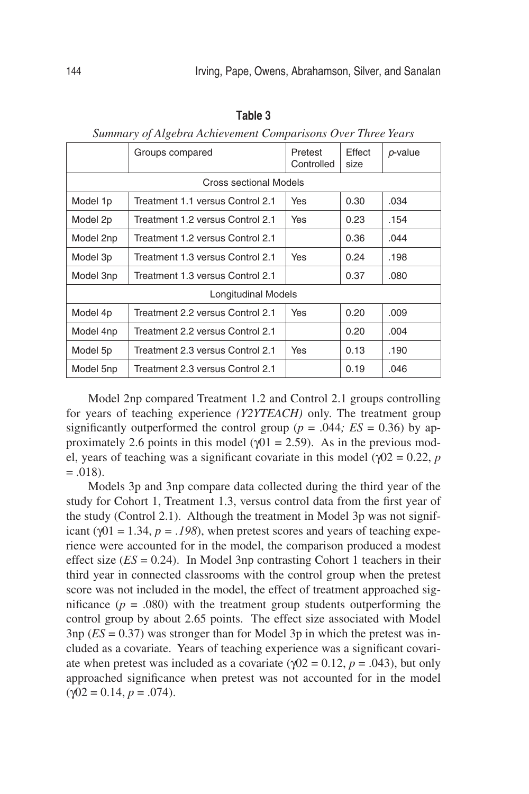|                            | Groups compared                  | Pretest<br>Controlled | Effect<br>size | p-value |  |  |  |
|----------------------------|----------------------------------|-----------------------|----------------|---------|--|--|--|
| Cross sectional Models     |                                  |                       |                |         |  |  |  |
| Model 1p                   | Treatment 1.1 versus Control 2.1 | Yes                   | 0.30           | .034    |  |  |  |
| Model 2p                   | Treatment 1.2 versus Control 2.1 | Yes                   | 0.23           | .154    |  |  |  |
| Model 2np                  | Treatment 1.2 versus Control 2.1 |                       | 0.36           | .044    |  |  |  |
| Model 3p                   | Treatment 1.3 versus Control 2.1 | Yes                   | 0.24           | .198    |  |  |  |
| Model 3np                  | Treatment 1.3 versus Control 2.1 |                       | 0.37           | .080    |  |  |  |
| <b>Longitudinal Models</b> |                                  |                       |                |         |  |  |  |
| Model 4p                   | Treatment 2.2 versus Control 2.1 | Yes                   | 0.20           | .009    |  |  |  |
| Model 4np                  | Treatment 2.2 versus Control 2.1 |                       | 0.20           | .004    |  |  |  |
| Model 5p                   | Treatment 2.3 versus Control 2.1 | Yes                   | 0.13           | .190    |  |  |  |
| Model 5np                  | Treatment 2.3 versus Control 2.1 |                       | 0.19           | .046    |  |  |  |

*Summary of Algebra Achievement Comparisons Over Three Years*

Model 2np compared Treatment 1.2 and Control 2.1 groups controlling for years of teaching experience *(Y2YTEACH)* only. The treatment group significantly outperformed the control group ( $p = .044$ ;  $ES = 0.36$ ) by approximately 2.6 points in this model ( $\gamma$ 01 = 2.59). As in the previous model, years of teaching was a significant covariate in this model ( $\gamma$ 02 = 0.22, *p*  $= .018$ ).

Models 3p and 3np compare data collected during the third year of the study for Cohort 1, Treatment 1.3, versus control data from the first year of the study (Control 2.1). Although the treatment in Model 3p was not significant ( $\gamma$ 01 = 1.34, *p* = .198), when pretest scores and years of teaching experience were accounted for in the model, the comparison produced a modest effect size  $(ES = 0.24)$ . In Model 3np contrasting Cohort 1 teachers in their third year in connected classrooms with the control group when the pretest score was not included in the model, the effect of treatment approached significance  $(p = .080)$  with the treatment group students outperforming the control group by about 2.65 points. The effect size associated with Model  $3np$  ( $ES = 0.37$ ) was stronger than for Model 3p in which the pretest was included as a covariate. Years of teaching experience was a significant covariate when pretest was included as a covariate ( $\gamma$ 02 = 0.12, *p* = .043), but only approached significance when pretest was not accounted for in the model  $(\gamma 02 = 0.14, p = .074).$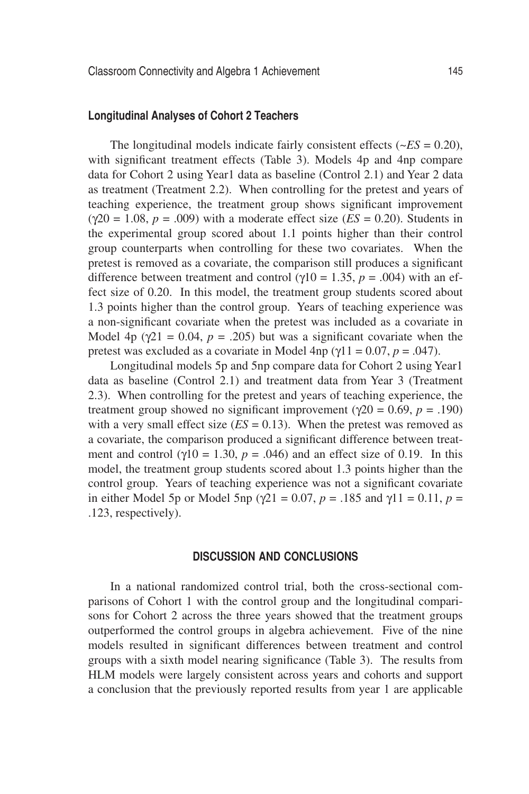#### **Longitudinal Analyses of Cohort 2 Teachers**

The longitudinal models indicate fairly consistent effects  $(-ES = 0.20)$ , with significant treatment effects (Table 3). Models 4p and 4np compare data for Cohort 2 using Year1 data as baseline (Control 2.1) and Year 2 data as treatment (Treatment 2.2). When controlling for the pretest and years of teaching experience, the treatment group shows significant improvement  $(\gamma 20 = 1.08, p = .009)$  with a moderate effect size  $(ES = 0.20)$ . Students in the experimental group scored about 1.1 points higher than their control group counterparts when controlling for these two covariates. When the pretest is removed as a covariate, the comparison still produces a significant difference between treatment and control ( $\gamma$ 10 = 1.35, *p* = .004) with an effect size of 0.20. In this model, the treatment group students scored about 1.3 points higher than the control group. Years of teaching experience was a non-significant covariate when the pretest was included as a covariate in Model 4p ( $\gamma$ 21 = 0.04, *p* = .205) but was a significant covariate when the pretest was excluded as a covariate in Model 4np ( $\gamma$ 11 = 0.07, *p* = .047).

Longitudinal models 5p and 5np compare data for Cohort 2 using Year1 data as baseline (Control 2.1) and treatment data from Year 3 (Treatment 2.3). When controlling for the pretest and years of teaching experience, the treatment group showed no significant improvement ( $\gamma$ 20 = 0.69, *p* = .190) with a very small effect size  $(ES = 0.13)$ . When the pretest was removed as a covariate, the comparison produced a significant difference between treatment and control ( $\gamma$ 10 = 1.30,  $p = .046$ ) and an effect size of 0.19. In this model, the treatment group students scored about 1.3 points higher than the control group. Years of teaching experience was not a significant covariate in either Model 5p or Model 5np ( $\gamma$ 21 = 0.07, *p* = .185 and  $\gamma$ 11 = 0.11, *p* = .123, respectively).

## **Discussion and Conclusions**

In a national randomized control trial, both the cross-sectional comparisons of Cohort 1 with the control group and the longitudinal comparisons for Cohort 2 across the three years showed that the treatment groups outperformed the control groups in algebra achievement. Five of the nine models resulted in significant differences between treatment and control groups with a sixth model nearing significance (Table 3). The results from HLM models were largely consistent across years and cohorts and support a conclusion that the previously reported results from year 1 are applicable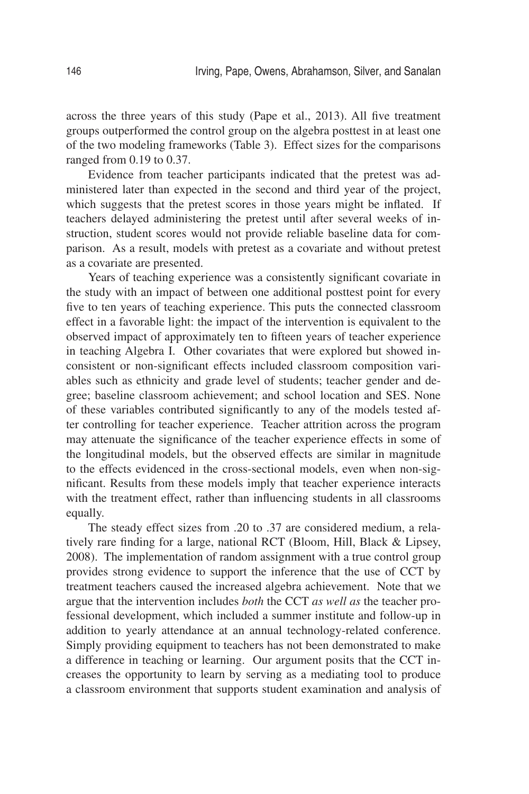across the three years of this study (Pape et al., 2013). All five treatment groups outperformed the control group on the algebra posttest in at least one of the two modeling frameworks (Table 3). Effect sizes for the comparisons ranged from 0.19 to 0.37.

Evidence from teacher participants indicated that the pretest was administered later than expected in the second and third year of the project, which suggests that the pretest scores in those years might be inflated. If teachers delayed administering the pretest until after several weeks of instruction, student scores would not provide reliable baseline data for comparison. As a result, models with pretest as a covariate and without pretest as a covariate are presented.

Years of teaching experience was a consistently significant covariate in the study with an impact of between one additional posttest point for every five to ten years of teaching experience. This puts the connected classroom effect in a favorable light: the impact of the intervention is equivalent to the observed impact of approximately ten to fifteen years of teacher experience in teaching Algebra I. Other covariates that were explored but showed inconsistent or non-significant effects included classroom composition variables such as ethnicity and grade level of students; teacher gender and degree; baseline classroom achievement; and school location and SES. None of these variables contributed significantly to any of the models tested after controlling for teacher experience. Teacher attrition across the program may attenuate the significance of the teacher experience effects in some of the longitudinal models, but the observed effects are similar in magnitude to the effects evidenced in the cross-sectional models, even when non-significant. Results from these models imply that teacher experience interacts with the treatment effect, rather than influencing students in all classrooms equally.

The steady effect sizes from .20 to .37 are considered medium, a relatively rare finding for a large, national RCT (Bloom, Hill, Black & Lipsey, 2008). The implementation of random assignment with a true control group provides strong evidence to support the inference that the use of CCT by treatment teachers caused the increased algebra achievement. Note that we argue that the intervention includes *both* the CCT *as well as* the teacher professional development, which included a summer institute and follow-up in addition to yearly attendance at an annual technology-related conference. Simply providing equipment to teachers has not been demonstrated to make a difference in teaching or learning. Our argument posits that the CCT increases the opportunity to learn by serving as a mediating tool to produce a classroom environment that supports student examination and analysis of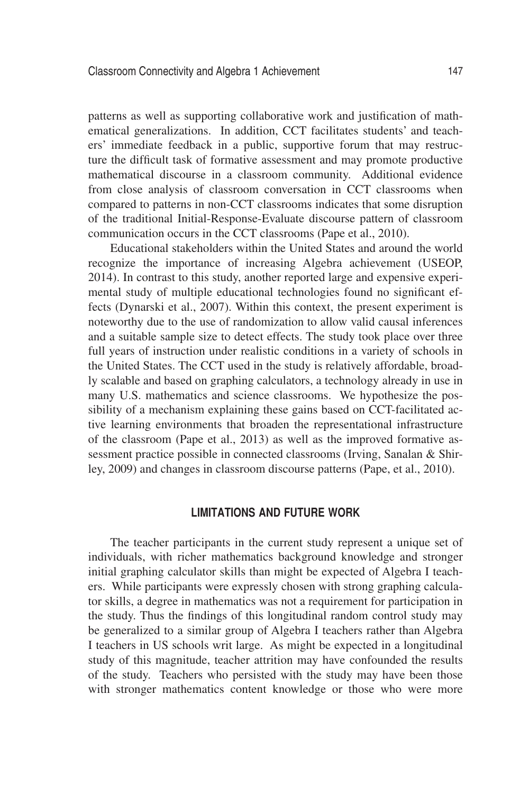patterns as well as supporting collaborative work and justification of mathematical generalizations. In addition, CCT facilitates students' and teachers' immediate feedback in a public, supportive forum that may restructure the difficult task of formative assessment and may promote productive mathematical discourse in a classroom community. Additional evidence from close analysis of classroom conversation in CCT classrooms when compared to patterns in non-CCT classrooms indicates that some disruption of the traditional Initial-Response-Evaluate discourse pattern of classroom communication occurs in the CCT classrooms (Pape et al., 2010).

Educational stakeholders within the United States and around the world recognize the importance of increasing Algebra achievement (USEOP, 2014). In contrast to this study, another reported large and expensive experimental study of multiple educational technologies found no significant effects (Dynarski et al., 2007). Within this context, the present experiment is noteworthy due to the use of randomization to allow valid causal inferences and a suitable sample size to detect effects. The study took place over three full years of instruction under realistic conditions in a variety of schools in the United States. The CCT used in the study is relatively affordable, broadly scalable and based on graphing calculators, a technology already in use in many U.S. mathematics and science classrooms. We hypothesize the possibility of a mechanism explaining these gains based on CCT-facilitated active learning environments that broaden the representational infrastructure of the classroom (Pape et al., 2013) as well as the improved formative assessment practice possible in connected classrooms (Irving, Sanalan & Shirley, 2009) and changes in classroom discourse patterns (Pape, et al., 2010).

## **Limitations and Future Work**

The teacher participants in the current study represent a unique set of individuals, with richer mathematics background knowledge and stronger initial graphing calculator skills than might be expected of Algebra I teachers. While participants were expressly chosen with strong graphing calculator skills, a degree in mathematics was not a requirement for participation in the study. Thus the findings of this longitudinal random control study may be generalized to a similar group of Algebra I teachers rather than Algebra I teachers in US schools writ large. As might be expected in a longitudinal study of this magnitude, teacher attrition may have confounded the results of the study. Teachers who persisted with the study may have been those with stronger mathematics content knowledge or those who were more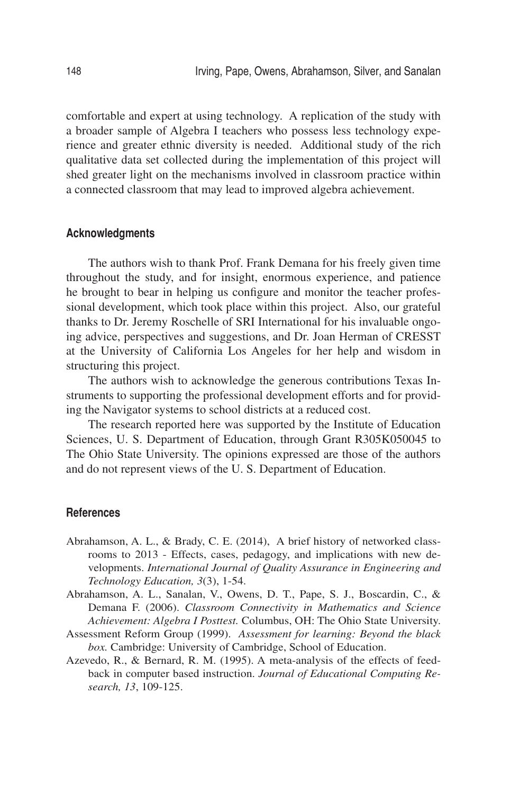comfortable and expert at using technology. A replication of the study with a broader sample of Algebra I teachers who possess less technology experience and greater ethnic diversity is needed. Additional study of the rich qualitative data set collected during the implementation of this project will shed greater light on the mechanisms involved in classroom practice within a connected classroom that may lead to improved algebra achievement.

#### **Acknowledgments**

The authors wish to thank Prof. Frank Demana for his freely given time throughout the study, and for insight, enormous experience, and patience he brought to bear in helping us configure and monitor the teacher professional development, which took place within this project. Also, our grateful thanks to Dr. Jeremy Roschelle of SRI International for his invaluable ongoing advice, perspectives and suggestions, and Dr. Joan Herman of CRESST at the University of California Los Angeles for her help and wisdom in structuring this project.

The authors wish to acknowledge the generous contributions Texas Instruments to supporting the professional development efforts and for providing the Navigator systems to school districts at a reduced cost.

The research reported here was supported by the Institute of Education Sciences, U. S. Department of Education, through Grant R305K050045 to The Ohio State University. The opinions expressed are those of the authors and do not represent views of the U. S. Department of Education.

#### **References**

- Abrahamson, A. L., & Brady, C. E. (2014), A brief history of networked classrooms to 2013 - Effects, cases, pedagogy, and implications with new developments. *International Journal of Quality Assurance in Engineering and Technology Education, 3*(3), 1-54.
- Abrahamson, A. L., Sanalan, V., Owens, D. T., Pape, S. J., Boscardin, C., & Demana F. (2006). *Classroom Connectivity in Mathematics and Science Achievement: Algebra I Posttest.* Columbus, OH: The Ohio State University.
- Assessment Reform Group (1999). *Assessment for learning: Beyond the black box.* Cambridge: University of Cambridge, School of Education.
- Azevedo, R., & Bernard, R. M. (1995). A meta-analysis of the effects of feedback in computer based instruction. *Journal of Educational Computing Research, 13*, 109-125.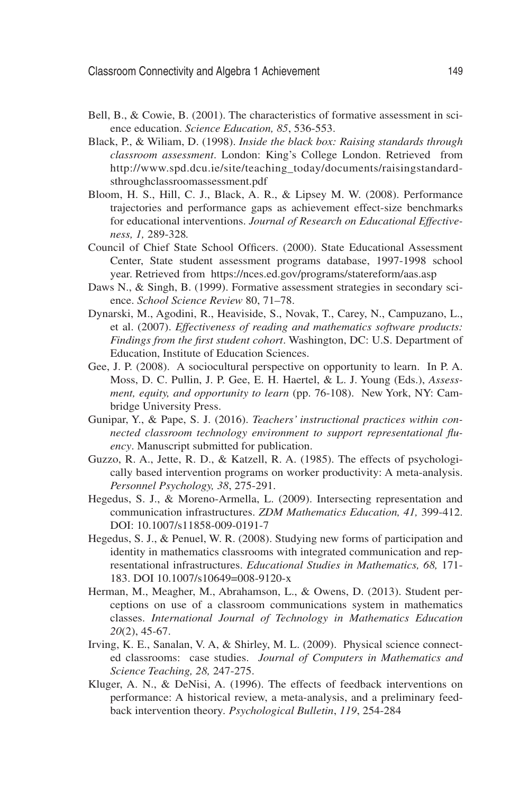- Bell, B., & Cowie, B. (2001). The characteristics of formative assessment in science education. *Science Education, 85*, 536-553.
- Black, P., & Wiliam, D. (1998). *Inside the black box: Raising standards through classroom assessment*. London: King's College London. Retrieved from http://www.spd.dcu.ie/site/teaching\_today/documents/raisingstandardsthroughclassroomassessment.pdf
- Bloom, H. S., Hill, C. J., Black, A. R., & Lipsey M. W. (2008). Performance trajectories and performance gaps as achievement effect-size benchmarks for educational interventions. *Journal of Research on Educational Effectiveness, 1,* 289-328*.*
- Council of Chief State School Officers. (2000). State Educational Assessment Center, State student assessment programs database, 1997-1998 school year. Retrieved from https://nces.ed.gov/programs/statereform/aas.asp
- Daws N., & Singh, B. (1999). Formative assessment strategies in secondary science. *School Science Review* 80, 71–78.
- Dynarski, M., Agodini, R., Heaviside, S., Novak, T., Carey, N., Campuzano, L., et al. (2007). *Effectiveness of reading and mathematics software products: Findings from the first student cohort*. Washington, DC: U.S. Department of Education, Institute of Education Sciences.
- Gee, J. P. (2008). A sociocultural perspective on opportunity to learn. In P. A. Moss, D. C. Pullin, J. P. Gee, E. H. Haertel, & L. J. Young (Eds.), *Assessment, equity, and opportunity to learn* (pp. 76-108). New York, NY: Cambridge University Press.
- Gunipar, Y., & Pape, S. J. (2016). *Teachers' instructional practices within connected classroom technology environment to support representational fluency*. Manuscript submitted for publication.
- Guzzo, R. A., Jette, R. D., & Katzell, R. A. (1985). The effects of psychologically based intervention programs on worker productivity: A meta-analysis. *Personnel Psychology, 38*, 275-291.
- Hegedus, S. J., & Moreno-Armella, L. (2009). Intersecting representation and communication infrastructures. *ZDM Mathematics Education, 41,* 399-412. DOI: 10.1007/s11858-009-0191-7
- Hegedus, S. J., & Penuel, W. R. (2008). Studying new forms of participation and identity in mathematics classrooms with integrated communication and representational infrastructures. *Educational Studies in Mathematics, 68,* 171- 183. DOI 10.1007/s10649=008-9120-x
- Herman, M., Meagher, M., Abrahamson, L., & Owens, D. (2013). Student perceptions on use of a classroom communications system in mathematics classes. *International Journal of Technology in Mathematics Education 20*(2), 45-67.
- Irving, K. E., Sanalan, V. A, & Shirley, M. L. (2009). Physical science connected classrooms: case studies. *Journal of Computers in Mathematics and Science Teaching, 28,* 247-275.
- Kluger, A. N., & DeNisi, A. (1996). The effects of feedback interventions on performance: A historical review, a meta-analysis, and a preliminary feedback intervention theory*. Psychological Bulletin*, *119*, 254-284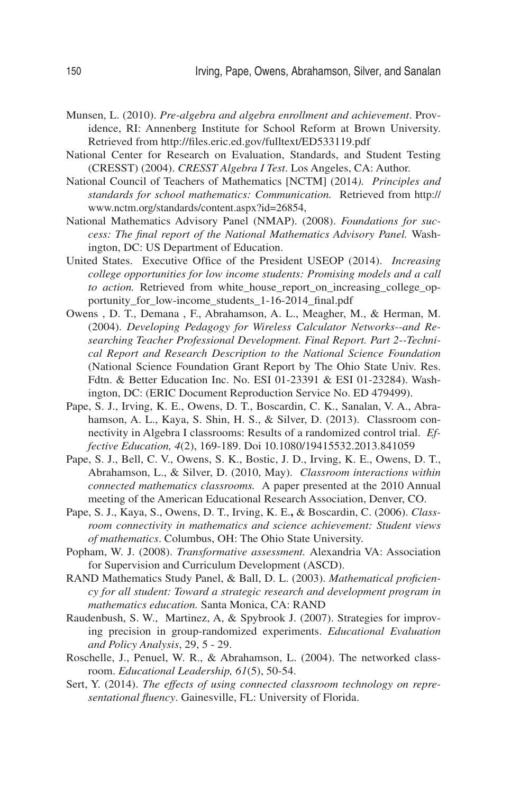- Munsen, L. (2010). *Pre-algebra and algebra enrollment and achievement*. Providence, RI: Annenberg Institute for School Reform at Brown University. Retrieved from http://files.eric.ed.gov/fulltext/ED533119.pdf
- National Center for Research on Evaluation, Standards, and Student Testing (CRESST) (2004). *CRESST Algebra I Test*. Los Angeles, CA: Author.
- National Council of Teachers of Mathematics [NCTM] (2014*). Principles and standards for school mathematics: Communication.* Retrieved from http:// www.nctm.org/standards/content.aspx?id=26854,
- National Mathematics Advisory Panel (NMAP). (2008). *Foundations for success: The final report of the National Mathematics Advisory Panel.* Washington, DC: US Department of Education.
- United States. Executive Office of the President USEOP (2014). *Increasing college opportunities for low income students: Promising models and a call to action.* Retrieved from white\_house\_report\_on\_increasing\_college\_opportunity\_for\_low-income\_students\_1-16-2014\_final.pdf
- Owens , D. T., Demana , F., Abrahamson, A. L., Meagher, M., & Herman, M. (2004). *Developing Pedagogy for Wireless Calculator Networks--and Researching Teacher Professional Development. Final Report. Part 2--Technical Report and Research Description to the National Science Foundation* (National Science Foundation Grant Report by The Ohio State Univ. Res. Fdtn. & Better Education Inc. No. ESI 01-23391 & ESI 01-23284). Washington, DC: (ERIC Document Reproduction Service No. ED 479499).
- Pape, S. J., Irving, K. E., Owens, D. T., Boscardin, C. K., Sanalan, V. A., Abrahamson, A. L., Kaya, S. Shin, H. S., & Silver, D. (2013). Classroom connectivity in Algebra I classrooms: Results of a randomized control trial. *Effective Education, 4*(2), 169-189. Doi 10.1080/19415532.2013.841059
- Pape, S. J., Bell, C. V., Owens, S. K., Bostic, J. D., Irving, K. E., Owens, D. T., Abrahamson, L., & Silver, D. (2010, May). *Classroom interactions within connected mathematics classrooms.* A paper presented at the 2010 Annual meeting of the American Educational Research Association, Denver, CO.
- Pape, S. J., Kaya, S., Owens, D. T., Irving, K. E.**,** & Boscardin, C. (2006). *Classroom connectivity in mathematics and science achievement: Student views of mathematics*. Columbus, OH: The Ohio State University.
- Popham, W. J. (2008). *Transformative assessment.* Alexandria VA: Association for Supervision and Curriculum Development (ASCD).
- RAND Mathematics Study Panel, & Ball, D. L. (2003). *Mathematical proficiency for all student: Toward a strategic research and development program in mathematics education.* Santa Monica, CA: RAND
- Raudenbush, S. W., Martinez, A, & Spybrook J. (2007). Strategies for improving precision in group-randomized experiments. *Educational Evaluation and Policy Analysis*, 29, 5 - 29.
- Roschelle, J., Penuel, W. R., & Abrahamson, L. (2004). The networked classroom. *Educational Leadership, 61*(5), 50-54.
- Sert, Y. (2014). *The effects of using connected classroom technology on representational fluency*. Gainesville, FL: University of Florida.